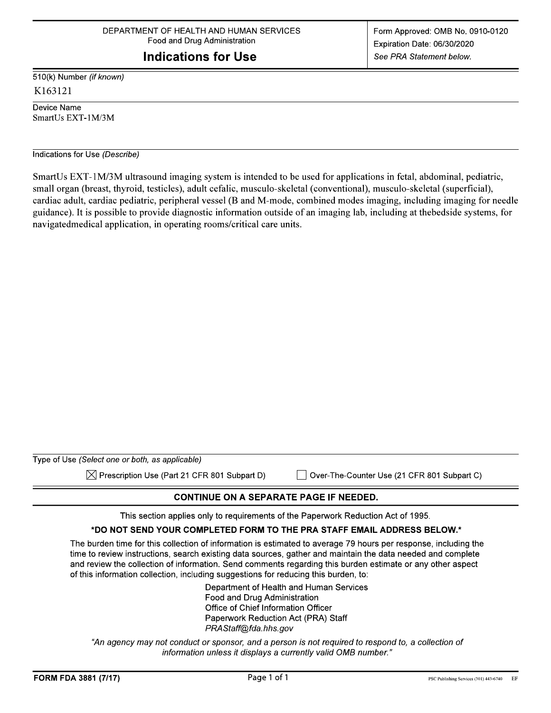# **Indications for Use**

510(k) Number (if known) K163121

Device Name SmartUs EXT-1M/3M

#### Indications for Use (Describe)

SmartUs EXT-1M/3M ultrasound imaging system is intended to be used for applications in fetal, abdominal, pediatric, small organ (breast, thyroid, testicles), adult cefalic, musculo-skeletal (conventional), musculo-skeletal (superficial), cardiac adult, cardiac pediatric, peripheral vessel (B and M-mode, combined modes imaging, including imaging for needle guidance). It is possible to provide diagnostic information outside of an imaging lab, including at the bedside systems, for navigated medical application, in operating rooms/critical care units.

| Type of Use (Select one or both, as applicable)          |                                             |
|----------------------------------------------------------|---------------------------------------------|
| $\boxtimes$ Prescription Use (Part 21 CFR 801 Subpart D) | Over-The-Counter Use (21 CFR 801 Subpart C) |

### **CONTINUE ON A SEPARATE PAGE IF NEEDED.**

This section applies only to requirements of the Paperwork Reduction Act of 1995.

# \*DO NOT SEND YOUR COMPLETED FORM TO THE PRA STAFF EMAIL ADDRESS BELOW.\*

The burden time for this collection of information is estimated to average 79 hours per response, including the time to review instructions, search existing data sources, gather and maintain the data needed and complete and review the collection of information. Send comments regarding this burden estimate or any other aspect of this information collection, including suggestions for reducing this burden, to:

> Department of Health and Human Services Food and Drug Administration Office of Chief Information Officer Paperwork Reduction Act (PRA) Staff PRAStaff@fda.hhs.gov

"An agency may not conduct or sponsor, and a person is not required to respond to, a collection of information unless it displays a currently valid OMB number."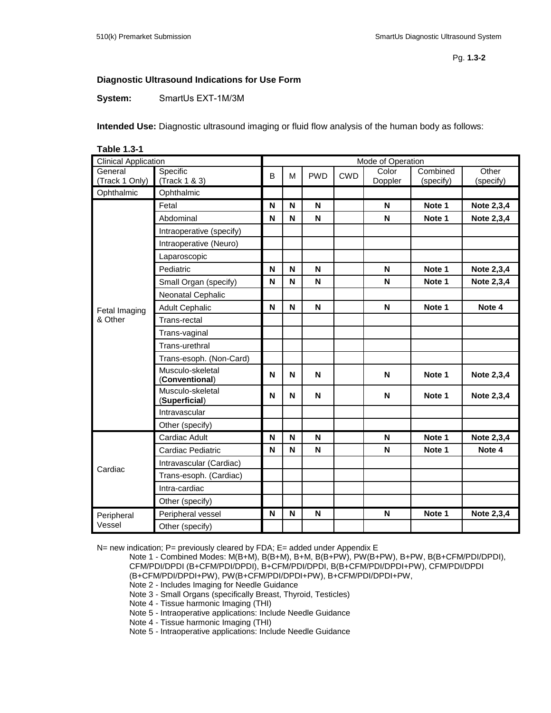## **Diagnostic Ultrasound Indications for Use Form**

**System:** SmartUs EXT-1M/3M

**Intended Use:** Diagnostic ultrasound imaging or fluid flow analysis of the human body as follows:

| <b>Table 1.3-1</b>          |                                    |                   |   |            |            |             |           |            |
|-----------------------------|------------------------------------|-------------------|---|------------|------------|-------------|-----------|------------|
| <b>Clinical Application</b> |                                    | Mode of Operation |   |            |            |             |           |            |
| General                     | Specific                           | B                 | M | <b>PWD</b> | <b>CWD</b> | Color       | Combined  | Other      |
| (Track 1 Only)              | (Track 1 & 3)                      |                   |   |            |            | Doppler     | (specify) | (specify)  |
| Ophthalmic                  | Ophthalmic                         |                   |   |            |            |             |           |            |
|                             | Fetal                              | N                 | N | N          |            | N           | Note 1    | Note 2,3,4 |
|                             | Abdominal                          | N                 | N | N          |            | N           | Note 1    | Note 2,3,4 |
|                             | Intraoperative (specify)           |                   |   |            |            |             |           |            |
|                             | Intraoperative (Neuro)             |                   |   |            |            |             |           |            |
|                             | Laparoscopic                       |                   |   |            |            |             |           |            |
|                             | Pediatric                          | N                 | N | N          |            | N           | Note 1    | Note 2,3,4 |
|                             | Small Organ (specify)              | N                 | N | N          |            | $\mathsf N$ | Note 1    | Note 2,3,4 |
|                             | Neonatal Cephalic                  |                   |   |            |            |             |           |            |
| Fetal Imaging               | <b>Adult Cephalic</b>              | N                 | N | N          |            | N           | Note 1    | Note 4     |
| & Other                     | Trans-rectal                       |                   |   |            |            |             |           |            |
|                             | Trans-vaginal                      |                   |   |            |            |             |           |            |
|                             | Trans-urethral                     |                   |   |            |            |             |           |            |
|                             | Trans-esoph. (Non-Card)            |                   |   |            |            |             |           |            |
|                             | Musculo-skeletal<br>(Conventional) | N                 | N | N          |            | $\mathsf N$ | Note 1    | Note 2,3,4 |
|                             | Musculo-skeletal<br>(Superficial)  | N                 | N | N          |            | N           | Note 1    | Note 2,3,4 |
|                             | Intravascular                      |                   |   |            |            |             |           |            |
|                             | Other (specify)                    |                   |   |            |            |             |           |            |
|                             | Cardiac Adult                      | N                 | N | N          |            | $\mathsf N$ | Note 1    | Note 2,3,4 |
|                             | Cardiac Pediatric                  | N                 | N | N          |            | N           | Note 1    | Note 4     |
| Cardiac                     | Intravascular (Cardiac)            |                   |   |            |            |             |           |            |
|                             | Trans-esoph. (Cardiac)             |                   |   |            |            |             |           |            |
|                             | Intra-cardiac                      |                   |   |            |            |             |           |            |
|                             | Other (specify)                    |                   |   |            |            |             |           |            |
| Peripheral                  | Peripheral vessel                  | N                 | N | N          |            | N           | Note 1    | Note 2,3,4 |
| Vessel                      | Other (specify)                    |                   |   |            |            |             |           |            |

N= new indication; P= previously cleared by FDA; E= added under Appendix E

Note 1 - Combined Modes: M(B+M), B(B+M), B+M, B(B+PW), PW(B+PW), B+PW, B(B+CFM/PDI/DPDI), CFM/PDI/DPDI (B+CFM/PDI/DPDI), B+CFM/PDI/DPDI, B(B+CFM/PDI/DPDI+PW), CFM/PDI/DPDI (B+CFM/PDI/DPDI+PW), PW(B+CFM/PDI/DPDI+PW), B+CFM/PDI/DPDI+PW,

Note 2 - Includes Imaging for Needle Guidance

Note 3 - Small Organs (specifically Breast, Thyroid, Testicles)

Note 4 - Tissue harmonic Imaging (THI)

Note 5 - Intraoperative applications: Include Needle Guidance

Note 4 - Tissue harmonic Imaging (THI)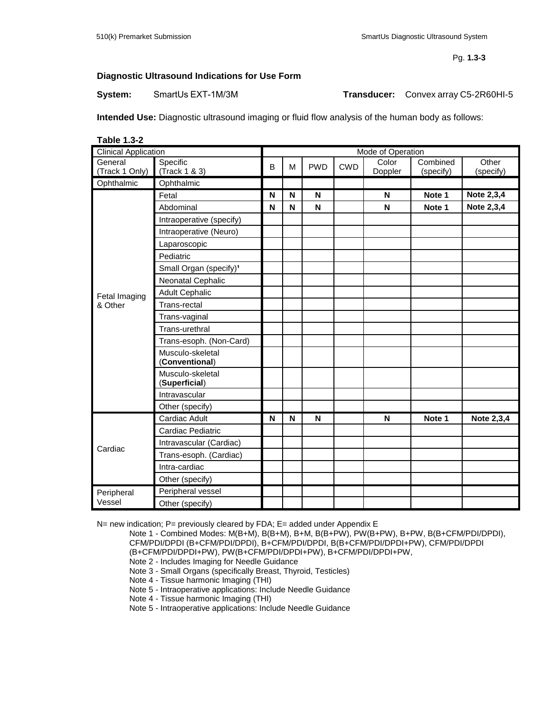Pg. **1.3-3**

#### **Diagnostic Ultrasound Indications for Use Form**

**System:** SmartUs EXT-1M/3M **Transducer:** Convex array C5-2R60HI-5

**Intended Use:** Diagnostic ultrasound imaging or fluid flow analysis of the human body as follows:

**Table 1.3-2**

| <b>Clinical Application</b> |                                    |   | Mode of Operation |            |            |                  |                       |                    |  |
|-----------------------------|------------------------------------|---|-------------------|------------|------------|------------------|-----------------------|--------------------|--|
| General<br>(Track 1 Only)   | Specific<br>(Track 1 & 3)          | B | M                 | <b>PWD</b> | <b>CWD</b> | Color<br>Doppler | Combined<br>(specify) | Other<br>(specify) |  |
| Ophthalmic                  | Ophthalmic                         |   |                   |            |            |                  |                       |                    |  |
|                             | Fetal                              | N | N                 | N          |            | N                | Note 1                | Note 2,3,4         |  |
|                             | Abdominal                          | N | N                 | N          |            | N                | Note 1                | Note 2,3,4         |  |
|                             | Intraoperative (specify)           |   |                   |            |            |                  |                       |                    |  |
|                             | Intraoperative (Neuro)             |   |                   |            |            |                  |                       |                    |  |
|                             | Laparoscopic                       |   |                   |            |            |                  |                       |                    |  |
|                             | Pediatric                          |   |                   |            |            |                  |                       |                    |  |
|                             | Small Organ (specify) <sup>1</sup> |   |                   |            |            |                  |                       |                    |  |
|                             | Neonatal Cephalic                  |   |                   |            |            |                  |                       |                    |  |
| Fetal Imaging               | <b>Adult Cephalic</b>              |   |                   |            |            |                  |                       |                    |  |
| & Other                     | Trans-rectal                       |   |                   |            |            |                  |                       |                    |  |
|                             | Trans-vaginal                      |   |                   |            |            |                  |                       |                    |  |
|                             | Trans-urethral                     |   |                   |            |            |                  |                       |                    |  |
|                             | Trans-esoph. (Non-Card)            |   |                   |            |            |                  |                       |                    |  |
|                             | Musculo-skeletal<br>(Conventional) |   |                   |            |            |                  |                       |                    |  |
|                             | Musculo-skeletal<br>(Superficial)  |   |                   |            |            |                  |                       |                    |  |
|                             | Intravascular                      |   |                   |            |            |                  |                       |                    |  |
|                             | Other (specify)                    |   |                   |            |            |                  |                       |                    |  |
|                             | Cardiac Adult                      | N | N                 | N          |            | N                | Note 1                | Note 2,3,4         |  |
|                             | Cardiac Pediatric                  |   |                   |            |            |                  |                       |                    |  |
| Cardiac                     | Intravascular (Cardiac)            |   |                   |            |            |                  |                       |                    |  |
|                             | Trans-esoph. (Cardiac)             |   |                   |            |            |                  |                       |                    |  |
|                             | Intra-cardiac                      |   |                   |            |            |                  |                       |                    |  |
|                             | Other (specify)                    |   |                   |            |            |                  |                       |                    |  |
| Peripheral                  | Peripheral vessel                  |   |                   |            |            |                  |                       |                    |  |
| Vessel                      | Other (specify)                    |   |                   |            |            |                  |                       |                    |  |

N= new indication; P= previously cleared by FDA; E= added under Appendix E

Note 1 - Combined Modes: M(B+M), B(B+M), B+M, B(B+PW), PW(B+PW), B+PW, B(B+CFM/PDI/DPDI), CFM/PDI/DPDI (B+CFM/PDI/DPDI), B+CFM/PDI/DPDI, B(B+CFM/PDI/DPDI+PW), CFM/PDI/DPDI (B+CFM/PDI/DPDI+PW), PW(B+CFM/PDI/DPDI+PW), B+CFM/PDI/DPDI+PW,

```
Note 2 - Includes Imaging for Needle Guidance
```
Note 3 - Small Organs (specifically Breast, Thyroid, Testicles)

Note 4 - Tissue harmonic Imaging (THI)

Note 5 - Intraoperative applications: Include Needle Guidance

Note 4 - Tissue harmonic Imaging (THI)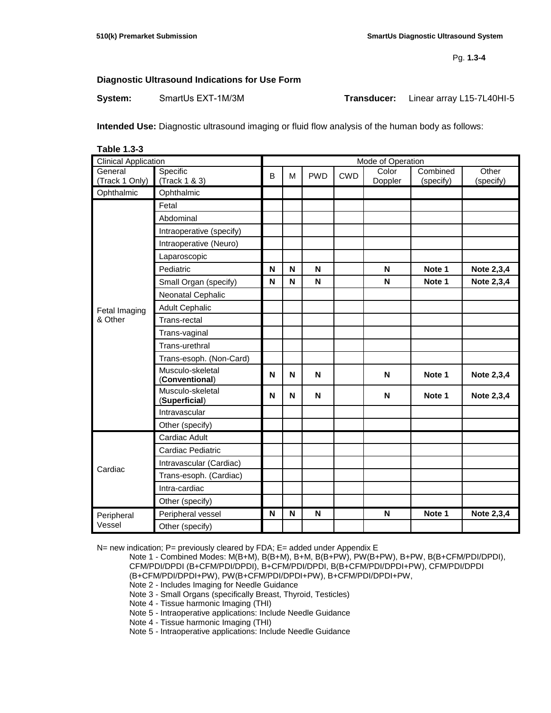Pg. **1.3-4**

# **Diagnostic Ultrasound Indications for Use Form**

**System:** SmartUs EXT-1M/3M **Transducer:** Linear array L15-7L40HI-5

**Intended Use:** Diagnostic ultrasound imaging or fluid flow analysis of the human body as follows:

| <b>Table 1.3-3</b>          |                                    |                   |   |            |            |                  |                       |                    |
|-----------------------------|------------------------------------|-------------------|---|------------|------------|------------------|-----------------------|--------------------|
| <b>Clinical Application</b> |                                    | Mode of Operation |   |            |            |                  |                       |                    |
| General<br>(Track 1 Only)   | Specific<br>(Track 1 & 3)          | B                 | M | <b>PWD</b> | <b>CWD</b> | Color<br>Doppler | Combined<br>(specify) | Other<br>(specify) |
| Ophthalmic                  | Ophthalmic                         |                   |   |            |            |                  |                       |                    |
|                             | Fetal                              |                   |   |            |            |                  |                       |                    |
|                             | Abdominal                          |                   |   |            |            |                  |                       |                    |
|                             | Intraoperative (specify)           |                   |   |            |            |                  |                       |                    |
|                             | Intraoperative (Neuro)             |                   |   |            |            |                  |                       |                    |
|                             | Laparoscopic                       |                   |   |            |            |                  |                       |                    |
|                             | Pediatric                          | N                 | N | N          |            | N                | Note 1                | Note 2,3,4         |
|                             | Small Organ (specify)              | N                 | N | N          |            | $\mathsf N$      | Note 1                | Note 2,3,4         |
|                             | Neonatal Cephalic                  |                   |   |            |            |                  |                       |                    |
| Fetal Imaging               | <b>Adult Cephalic</b>              |                   |   |            |            |                  |                       |                    |
| & Other                     | Trans-rectal                       |                   |   |            |            |                  |                       |                    |
|                             | Trans-vaginal                      |                   |   |            |            |                  |                       |                    |
|                             | Trans-urethral                     |                   |   |            |            |                  |                       |                    |
|                             | Trans-esoph. (Non-Card)            |                   |   |            |            |                  |                       |                    |
|                             | Musculo-skeletal<br>(Conventional) | N                 | N | N          |            | N                | Note 1                | Note 2,3,4         |
|                             | Musculo-skeletal<br>(Superficial)  | N                 | N | ${\sf N}$  |            | N                | Note 1                | Note 2,3,4         |
|                             | Intravascular                      |                   |   |            |            |                  |                       |                    |
|                             | Other (specify)                    |                   |   |            |            |                  |                       |                    |
|                             | Cardiac Adult                      |                   |   |            |            |                  |                       |                    |
| Cardiac                     | Cardiac Pediatric                  |                   |   |            |            |                  |                       |                    |
|                             | Intravascular (Cardiac)            |                   |   |            |            |                  |                       |                    |
|                             | Trans-esoph. (Cardiac)             |                   |   |            |            |                  |                       |                    |
|                             | Intra-cardiac                      |                   |   |            |            |                  |                       |                    |
|                             | Other (specify)                    |                   |   |            |            |                  |                       |                    |
| Peripheral                  | Peripheral vessel                  | N                 | N | N          |            | N                | Note 1                | Note 2,3,4         |
| Vessel                      | Other (specify)                    |                   |   |            |            |                  |                       |                    |

N= new indication; P= previously cleared by FDA; E= added under Appendix E

Note 1 - Combined Modes: M(B+M), B(B+M), B+M, B(B+PW), PW(B+PW), B+PW, B(B+CFM/PDI/DPDI), CFM/PDI/DPDI (B+CFM/PDI/DPDI), B+CFM/PDI/DPDI, B(B+CFM/PDI/DPDI+PW), CFM/PDI/DPDI (B+CFM/PDI/DPDI+PW), PW(B+CFM/PDI/DPDI+PW), B+CFM/PDI/DPDI+PW,

Note 2 - Includes Imaging for Needle Guidance

Note 3 - Small Organs (specifically Breast, Thyroid, Testicles)

Note 4 - Tissue harmonic Imaging (THI)

Note 5 - Intraoperative applications: Include Needle Guidance

Note 4 - Tissue harmonic Imaging (THI)